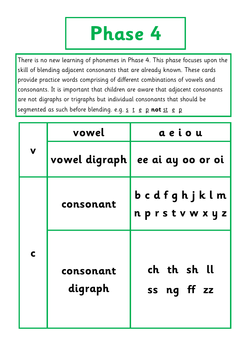## **Phase 4**

There is no new learning of phonemes in Phase 4. This phase focuses upon the skill of blending adjacent consonants that are already known. These cards provide practice words comprising of different combinations of vowels and consonants. It is important that children are aware that adjacent consonants are not digraphs or trigraphs but individual consonants that should be segmented as such before blending. e.g. s t e p not st e p

|             | vowel                | aeiou                           |  |
|-------------|----------------------|---------------------------------|--|
| $\mathbf V$ |                      | vowel digraph ee ai ay oo or oi |  |
|             | consonant            | bcdfghjklm<br>nprstvwxyz        |  |
| $\mathbf C$ | consonant<br>digraph | ch th sh ll<br>ss ng ff zz      |  |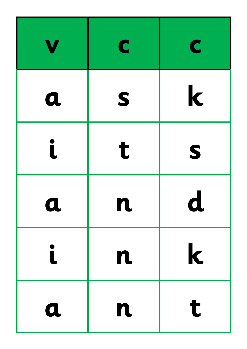|                         | C  | C           |
|-------------------------|----|-------------|
| $\boldsymbol{a}$        | S  | $\mathbf k$ |
| Ĺ                       | t  | S           |
| $\mathbf u$             | TL | $\mathbf u$ |
| $\overline{\mathsf{L}}$ | n  | $\mathbf k$ |
| $\boldsymbol{a}$        | n  | t           |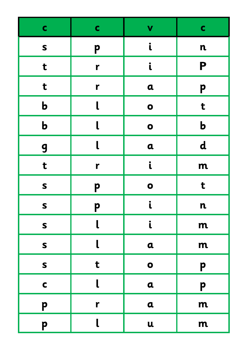| $\mathbf C$  | $\mathbf C$  | V            | $\mathbf c$ |
|--------------|--------------|--------------|-------------|
| $\mathsf{s}$ | p            | i            | $\mathbf n$ |
| t            | r            | i            | P           |
| t            | r            | $\mathbf a$  | p           |
| $\mathbf b$  |              | $\bullet$    | t           |
| $\mathbf b$  |              | $\bullet$    | $\mathbf b$ |
| 9            |              | $\mathbf a$  | $\mathbf d$ |
| t            | r            |              | m           |
| $\mathsf{s}$ | p            | $\bullet$    | t           |
| $\mathsf{s}$ | p            |              | $\mathbf n$ |
| $\mathsf{s}$ |              | $\mathbf{i}$ | m           |
| $\mathsf{s}$ |              | $\mathbf a$  | m           |
| $\mathsf{s}$ | t            | $\bullet$    | P           |
| $\mathbf C$  |              | $\mathbf a$  | p           |
| P            | $\mathbf{r}$ | $\mathbf a$  | m           |
| P            |              | $\mathbf u$  | m           |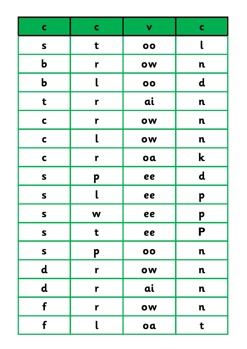| $\mathbf C$  | $\mathbf C$  | V  | $\mathbf c$ |
|--------------|--------------|----|-------------|
| $\mathsf{s}$ | t            | 00 | $\mathsf L$ |
| $\mathbf b$  | $\mathbf{r}$ | OW | $\mathbf n$ |
| $\mathbf b$  |              | 00 | $\mathbf d$ |
| t            | r            | ai | $\mathbf n$ |
| $\mathbf C$  | $\mathbf{r}$ | OW | $\mathbf n$ |
| $\mathbf C$  | l            | OW | $\mathbf n$ |
| $\mathbf C$  | $\mathbf{r}$ | oa | $\mathbf k$ |
| $\mathsf{s}$ | P            | ee | $\mathbf d$ |
| S            |              | ee | p           |
| $\mathsf{s}$ | W            | ee | P           |
| $\mathsf{s}$ | t            | ee | P           |
| $\mathsf{s}$ | p            | 00 | $\mathbf n$ |
| $\mathbf d$  | $\mathbf r$  | OW | $\mathbf n$ |
| $\mathbf d$  | r            | ai | $\mathbf n$ |
| f            | $\mathbf{r}$ | OW | $\mathbf n$ |
| f            | l            | oa | t           |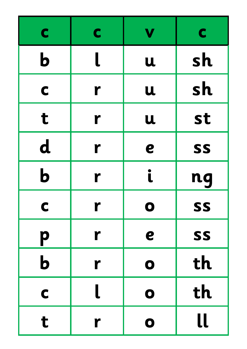| C           | C | V           | C  |
|-------------|---|-------------|----|
| $\mathbf b$ |   | $\mathbf u$ | sh |
| C           | r | U           | sh |
| t           | r | U           | st |
| $\mathbf d$ | r | e           | SS |
| $\mathbf b$ | r | i           | nq |
| C           | r | O           | SS |
| p           | r | e           | SS |
| $\mathbf b$ | r | $\mathbf 0$ | th |
| C           |   | $\mathbf 0$ | th |
| t           | r | $\mathbf 0$ | ll |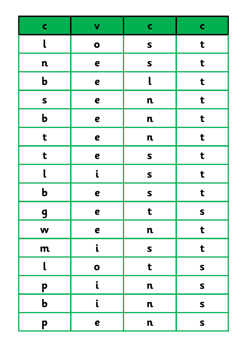| $\mathbf c$ | $\mathbf v$  | $\mathbf C$  | $\mathbf c$  |
|-------------|--------------|--------------|--------------|
| $\mathbf l$ | $\bullet$    | $\mathsf{s}$ | t            |
| $\mathbf n$ | e            | S            | t            |
| $\mathbf b$ | e            | $\mathbf l$  | t            |
| S           | e            | $\mathbf n$  | $\mathbf t$  |
| $\mathbf b$ | e            | $\mathbf n$  | t            |
| t           | e            | $\mathbf n$  | t            |
| t           | e            | S            | t            |
| $\mathbf l$ | $\mathbf{i}$ | S            | t            |
| $\mathbf b$ | e            | S            | t            |
| 9           | e            | t            | $\mathsf{s}$ |
| W           | e            | $\mathbf n$  | $\mathbf t$  |
| m           | $\mathbf{i}$ | S            | t            |
| $\mathbf l$ | $\bullet$    | t            | $\mathsf{s}$ |
| p           | $\mathbf{i}$ | $\mathbf n$  | $\mathsf{s}$ |
| $\mathbf b$ | $\mathbf{i}$ | $\mathbf n$  | $\mathsf{s}$ |
| p           | e            | $\mathbf n$  | $\mathsf{s}$ |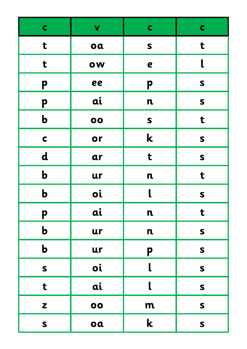| $\mathbf c$  | V  | $\mathbf C$             | $\mathbf C$  |
|--------------|----|-------------------------|--------------|
| t            | oa | $\mathbf S$             | t            |
| t            | OW | $\boldsymbol{e}$        |              |
| P            | ee | p                       | $\mathsf{s}$ |
| P            | ai | $\mathbf n$             | $\mathsf{s}$ |
| $\mathbf b$  | 00 | $\mathsf{s}$            | t            |
| $\mathbf C$  | or | $\mathbf k$             | $\mathsf{s}$ |
| $\mathbf d$  | ar | t                       | $\mathsf{s}$ |
| $\mathbf b$  | ur | $\mathbf n$             | t            |
| $\mathbf b$  | oi | $\overline{\mathsf{L}}$ | S            |
| P            | ai | $\mathbf n$             | t            |
| $\mathbf b$  | ur | $\mathbf n$             | $\mathsf{s}$ |
| $\mathbf b$  | ur | p                       | $\mathsf{s}$ |
| $\mathsf{s}$ | oi | $\mathbf{l}$            | $\mathsf{s}$ |
| t            | ai | $\mathbf l$             | $\mathsf{s}$ |
| Z            | 00 | m                       | $\mathsf{s}$ |
| $\mathsf{s}$ | oa | $\mathbf k$             | $\mathsf{s}$ |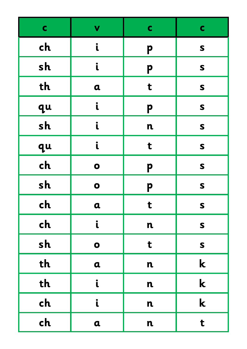| $\mathbf C$ | V            | $\mathbf C$ | $\mathbf C$  |
|-------------|--------------|-------------|--------------|
| ch          | $\mathbf{i}$ | p           | $\mathsf{s}$ |
| sh          | $\mathbf{i}$ | p           | $\mathsf{s}$ |
| th          | $\mathbf a$  | t           | $\mathsf{s}$ |
| qu          | $\mathbf{i}$ | p           | $\mathsf{s}$ |
| sh          | i            | $\mathbf n$ | $\mathsf{s}$ |
| qu          | $\mathbf{i}$ | t           | S            |
| ch          | $\bullet$    | p           | $\mathsf{s}$ |
| sh          | $\bullet$    | p           | $\mathsf{s}$ |
| ch          | $\mathbf a$  | t           | $\mathsf{s}$ |
| ch          | $\mathbf{i}$ | $\mathbf n$ | $\mathsf{s}$ |
| sh          | $\bullet$    | t           | $\mathsf{s}$ |
| th          | $\mathbf a$  | $\mathbf n$ | $\mathbf k$  |
| th          | $\mathbf{i}$ | $\mathbf n$ | $\mathbf k$  |
| ch          | $\mathbf{i}$ | $\mathbf n$ | $\mathbf k$  |
| ch          | $\mathbf a$  | $\mathbf n$ | t            |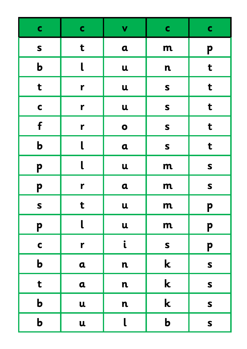| $\mathbf C$  | $\mathbf C$  | V            | $\mathbf C$  | $\mathbf C$  |
|--------------|--------------|--------------|--------------|--------------|
| $\mathsf{s}$ | t            | $\alpha$     | m            | P            |
| $\mathbf b$  | l            | $\mathbf u$  | $\mathbf n$  | t            |
| $\mathbf t$  | r            | $\mathbf u$  | $\mathsf{s}$ | t            |
| $\mathbf C$  | $\mathbf{r}$ | $\mathbf u$  | $\mathsf{s}$ | t            |
| f            | r            | $\bullet$    | $\mathsf{s}$ | t            |
| $\mathbf b$  | $\mathsf L$  | $\alpha$     | $\mathsf{s}$ | t            |
| p            | l            | $\mathbf u$  | m            | $\mathsf{s}$ |
| p            | $\mathbf{r}$ | $\alpha$     | m            | $\mathsf{s}$ |
| $\mathsf{s}$ | t            | $\mathbf u$  | m            | p            |
| P            | $\mathsf L$  | $\mathbf u$  | m            | P            |
| $\mathbf C$  | $\mathbf{r}$ | $\mathbf{i}$ | $\mathsf{s}$ | P            |
| $\mathbf b$  | $\mathbf a$  | $\mathbf n$  | $\mathbf k$  | S            |
| t            | $\mathbf a$  | $\mathbf n$  | $\mathbf k$  | S            |
| $\mathbf b$  | $\mathbf u$  | $\mathbf n$  | $\mathbf k$  | $\mathsf{s}$ |
| $\mathbf b$  | $\mathbf u$  | $\mathbf{l}$ | $\mathbf b$  | $\mathsf{s}$ |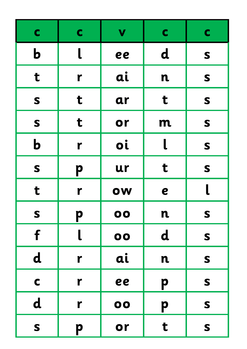| $\mathbf C$  | $\mathbf C$ | V  | $\mathbf C$ | $\mathbf C$ |
|--------------|-------------|----|-------------|-------------|
| $\mathbf b$  |             | ee | $\mathbf d$ | $\mathbf S$ |
| t            | r           | ai | $\mathbf n$ | S           |
| S            | t           | ar | t           | S           |
| S            | t           | or | m           | S           |
| $\mathbf b$  | r           | oi |             | S           |
| S            | p           | ur | t           | S           |
| t            | r           | OW | e           |             |
| $\mathsf{S}$ | p           | 00 | $\mathbf n$ | S           |
| f            |             | 00 | $\mathbf d$ | S           |
| $\mathbf d$  | r           | ai | $\mathbf n$ | S           |
| $\mathbf C$  | r           | ee | p           | S           |
| $\mathbf d$  | r           | 00 | p           | S           |
| S            | p           | or | t           | S           |